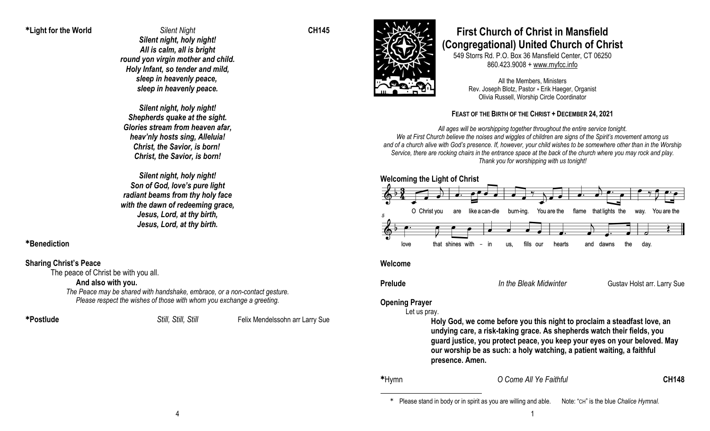<sup>Ü</sup>**Light for the World** *Silent Night* **CH145**

*Silent night, holy night! All is calm, all is bright round yon virgin mother and child. Holy Infant, so tender and mild, sleep in heavenly peace, sleep in heavenly peace.*

*Silent night, holy night! Shepherds quake at the sight. Glories stream from heaven afar, heav'nly hosts sing, Alleluia! Christ, the Savior, is born! Christ, the Savior, is born!*

*Silent night, holy night! Son of God, love's pure light radiant beams from thy holy face with the dawn of redeeming grace, Jesus, Lord, at thy birth, Jesus, Lord, at thy birth.*

<sup>Ü</sup>**Benediction**

### **Sharing Christ's Peace**

The peace of Christ be with you all.

#### **And also with you.**

*The Peace may be shared with handshake, embrace, or a non-contact gesture. Please respect the wishes of those with whom you exchange a greeting.*

<sup>Ü</sup>**Postlude** *Still, Still, Still* Felix Mendelssohn arr Larry Sue



# **First Church of Christ in Mansfield (Congregational) United Church of Christ**

549 Storrs Rd. P.O. Box 36 Mansfield Center, CT 06250 860.423.9008 + www.myfcc.info

All the Members, Ministers Rev. Joseph Blotz, Pastor + Erik Haeger, Organist Olivia Russell, Worship Circle Coordinator

### **FEAST OF THE BIRTH OF THE CHRIST + DECEMBER 24, 2021**

*All ages will be worshipping together throughout the entire service tonight. We at First Church believe the noises and wiggles of children are signs of the Spirit's movement among us and of a church alive with God's presence. If, however, your child wishes to be somewhere other than in the Worship Service, there are rocking chairs in the entrance space at the back of the church where you may rock and play. Thank you for worshipping with us tonight!*



#### **Welcome**

**Prelude** *In the Bleak Midwinter* **Gustav Holst arr. Larry Sue** 

## **Opening Prayer**

Let us pray.

**Holy God, we come before you this night to proclaim a steadfast love, an undying care, a risk-taking grace. As shepherds watch their fields, you guard justice, you protect peace, you keep your eyes on your beloved. May our worship be as such: a holy watching, a patient waiting, a faithful presence. Amen.**

#### <sup>Ü</sup>Hymn *O Come All Ye Faithful* **CH148**

<sup>Ü</sup> Please stand in body or in spirit as you are willing and able. Note: "CH" is the blue *Chalice Hymnal*.